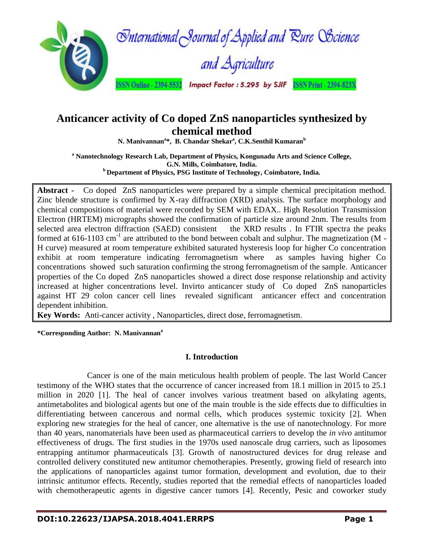

# **Anticancer activity of Co doped ZnS nanoparticles synthesized by chemical method**

**N. Manivannan<sup>a</sup> \*, B. Chandar Shekar<sup>a</sup> , C.K.Senthil Kumaran<sup>b</sup>**

**<sup>a</sup> Nanotechnology Research Lab, Department of Physics, Kongunadu Arts and Science College, G.N. Mills, Coimbatore, India. <sup>b</sup>Department of Physics, PSG Institute of Technology, Coimbatore, India.**

**Abstract -** Co doped ZnS nanoparticles were prepared by a simple chemical precipitation method. Zinc blende structure is confirmed by X-ray diffraction (XRD) analysis. The surface morphology and chemical compositions of material were recorded by SEM with EDAX.. High Resolution Transmission Electron (HRTEM) micrographs showed the confirmation of particle size around 2nm. The results from selected area electron diffraction (SAED) consistent the XRD results . In FTIR spectra the peaks formed at 616-1103 cm<sup>-1</sup> are attributed to the bond between cobalt and sulphur. The magnetization (M -H curve) measured at room temperature exhibited saturated hysteresis loop for higher Co concentration exhibit at room temperature indicating ferromagnetism where as samples having higher Co concentrations showed such saturation confirming the strong ferromagnetism of the sample. Anticancer properties of the Co doped ZnS nanoparticles showed a direct dose response relationship and activity increased at higher concentrations level. Invirto anticancer study of Co doped ZnS nanoparticles against HT 29 colon cancer cell lines revealed significant anticancer effect and concentration dependent inhibition.

**Key Words:** Anti-cancer activity , Nanoparticles, direct dose, ferromagnetism.

**\*Corresponding Author: N. Manivannan<sup>a</sup>**

# **I. Introduction**

Cancer is one of the main meticulous health problem of people. The last World Cancer testimony of the WHO states that the occurrence of cancer increased from 18.1 million in 2015 to 25.1 million in 2020 [1]. The heal of cancer involves various treatment based on alkylating agents, antimetabolites and biological agents but one of the main trouble is the side effects due to difficulties in differentiating between cancerous and normal cells, which produces systemic toxicity [2]. When exploring new strategies for the heal of cancer, one alternative is the use of nanotechnology. For more than 40 years, nanomaterials have been used as pharmaceutical carriers to develop the *in vivo* antitumor effectiveness of drugs. The first studies in the 1970s used nanoscale drug carriers, such as liposomes entrapping antitumor pharmaceuticals [3]. Growth of nanostructured devices for drug release and controlled delivery constituted new antitumor chemotherapies. Presently, growing field of research into the applications of nanoparticles against tumor formation, development and evolution, due to their intrinsic antitumor effects. Recently, studies reported that the remedial effects of nanoparticles loaded with chemotherapeutic agents in digestive cancer tumors [4]. Recently, Pesic and coworker study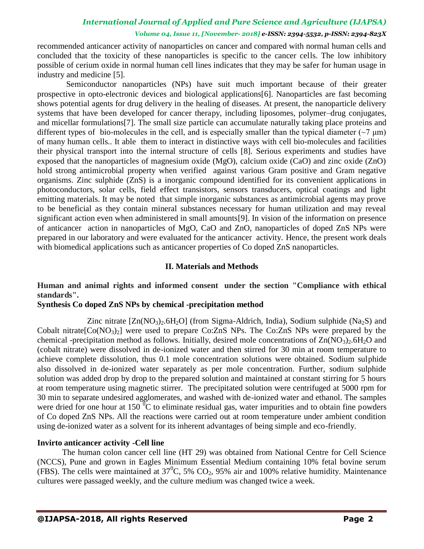## *Volume 04, Issue 11, [November- 2018] e-ISSN: 2394-5532, p-ISSN: 2394-823X*

recommended anticancer activity of nanoparticles on cancer and compared with normal human cells and concluded that the toxicity of these nanoparticles is specific to the cancer cells. The low inhibitory possible of cerium oxide in normal human cell lines indicates that they may be safer for human usage in industry and medicine [5].

 Semiconductor nanoparticles (NPs) have suit much important because of their greater prospective in opto-electronic devices and biological applications[6]. Nanoparticles are fast becoming shows potential agents for drug delivery in the healing of diseases. At present, the nanoparticle delivery systems that have been developed for cancer therapy, including liposomes, polymer–drug conjugates, and micellar formulations[7]. The small size particle can accumulate naturally taking place proteins and different types of bio-molecules in the cell, and is especially smaller than the typical diameter ( $\sim$ 7  $\mu$ m) of many human cells.. It able them to interact in distinctive ways with cell bio-molecules and facilities their physical transport into the internal structure of cells [8]. Serious experiments and studies have exposed that the nanoparticles of magnesium oxide (MgO), calcium oxide (CaO) and zinc oxide (ZnO) hold strong antimicrobial property when verified against various Gram positive and Gram negative organisms. Zinc sulphide (ZnS) is a inorganic compound identified for its convenient applications in photoconductors, solar cells, field effect transistors, sensors transducers, optical coatings and light emitting materials. It may be noted that simple inorganic substances as antimicrobial agents may prove to be beneficial as they contain mineral substances necessary for human utilization and may reveal significant action even when administered in small amounts[9]. In vision of the information on presence of anticancer action in nanoparticles of MgO, CaO and ZnO, nanoparticles of doped ZnS NPs were prepared in our laboratory and were evaluated for the anticancer activity. Hence, the present work deals with biomedical applications such as anticancer properties of Co doped ZnS nanoparticles.

## **II. Materials and Methods**

# **Human and animal rights and informed consent under the section "Compliance with ethical standards".**

## **Synthesis Co doped ZnS NPs by chemical -precipitation method**

Zinc nitrate  $[Zn(NO<sub>3</sub>)<sub>2</sub>6H<sub>2</sub>O]$  (from Sigma-Aldrich, India), Sodium sulphide (Na<sub>2</sub>S) and Cobalt nitrate $[Co(NO<sub>3</sub>)<sub>2</sub>]$  were used to prepare Co:ZnS NPs. The Co:ZnS NPs were prepared by the chemical -precipitation method as follows. Initially, desired mole concentrations of  $\text{Zn}(\text{NO}_3)_{2.6}\text{H}_2\text{O}$  and (cobalt nitrate) were dissolved in de-ionized water and then stirred for 30 min at room temperature to achieve complete dissolution, thus 0.1 mole concentration solutions were obtained. Sodium sulphide also dissolved in de-ionized water separately as per mole concentration. Further, sodium sulphide solution was added drop by drop to the prepared solution and maintained at constant stirring for 5 hours at room temperature using magnetic stirrer. The precipitated solution were centrifuged at 5000 rpm for 30 min to separate undesired agglomerates, and washed with de-ionized water and ethanol. The samples were dried for one hour at 150  $\mathrm{^0C}$  to eliminate residual gas, water impurities and to obtain fine powders of Co doped ZnS NPs. All the reactions were carried out at room temperature under ambient condition using de-ionized water as a solvent for its inherent advantages of being simple and eco-friendly.

## **Invirto anticancer activity -Cell line**

The human colon cancer cell line (HT 29) was obtained from National Centre for Cell Science (NCCS), Pune and grown in Eagles Minimum Essential Medium containing 10% fetal bovine serum (FBS). The cells were maintained at  $37^{\circ}$ C, 5% CO<sub>2</sub>, 95% air and 100% relative humidity. Maintenance cultures were passaged weekly, and the culture medium was changed twice a week.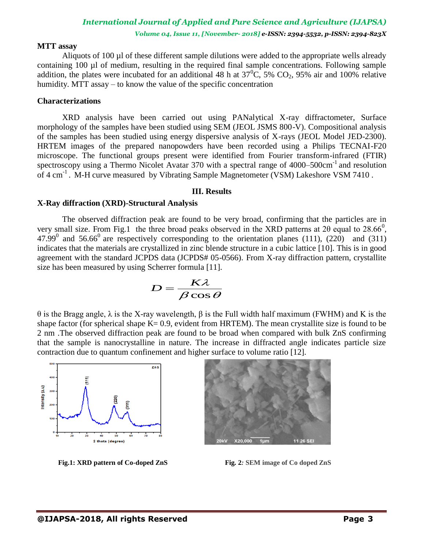*Volume 04, Issue 11, [November- 2018] e-ISSN: 2394-5532, p-ISSN: 2394-823X*

#### **MTT assay**

Aliquots of 100 µl of these different sample dilutions were added to the appropriate wells already containing 100 µl of medium, resulting in the required final sample concentrations. Following sample addition, the plates were incubated for an additional 48 h at  $37^{\circ}$ C, 5% CO<sub>2</sub>, 95% air and 100% relative humidity. MTT assay – to know the value of the specific concentration

#### **Characterizations**

XRD analysis have been carried out using PANalytical X-ray diffractometer, Surface morphology of the samples have been studied using SEM (JEOL JSMS 800-V). Compositional analysis of the samples has been studied using energy dispersive analysis of X-rays (JEOL Model JED-2300). HRTEM images of the prepared nanopowders have been recorded using a Philips TECNAI-F20 microscope. The functional groups present were identified from Fourier transform-infrared (FTIR) spectroscopy using a Thermo Nicolet Avatar 370 with a spectral range of  $4000-500 \text{cm}^{-1}$  and resolution of 4 cm<sup>-1</sup>. M-H curve measured by Vibrating Sample Magnetometer (VSM) Lakeshore VSM 7410.

#### **III. Results**

#### **X-Ray diffraction (XRD)-Structural Analysis**

The observed diffraction peak are found to be very broad, confirming that the particles are in very small size. From Fig.1 the three broad peaks observed in the XRD patterns at 2 $\theta$  equal to 28.66<sup>0</sup>, 47.99<sup>0</sup> and 56.66<sup>0</sup> are respectively corresponding to the orientation planes (111), (220) and (311) indicates that the materials are crystallized in zinc blende structure in a cubic lattice [10]. This is in good agreement with the standard JCPDS data (JCPDS# 05-0566). From X-ray diffraction pattern, crystallite size has been measured by using Scherrer formula [11].

$$
D = \frac{K\lambda}{\beta\cos\theta}
$$

θ is the Bragg angle, λ is the X-ray wavelength, β is the Full width half maximum (FWHM) and K is the shape factor (for spherical shape  $K = 0.9$ , evident from HRTEM). The mean crystallite size is found to be 2 nm .The observed diffraction peak are found to be broad when compared with bulk ZnS confirming that the sample is nanocrystalline in nature. The increase in diffracted angle indicates particle size contraction due to quantum confinement and higher surface to volume ratio [12].



 **Fig.1: XRD pattern of Co-doped ZnS Fig. 2***:* **SEM image of Co doped ZnS**

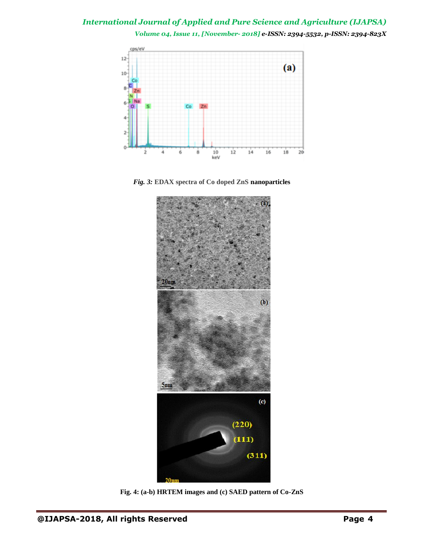*Volume 04, Issue 11, [November- 2018] e-ISSN: 2394-5532, p-ISSN: 2394-823X*



*Fig. 3:* **EDAX spectra of Co doped ZnS nanoparticles**



**Fig. 4: (a-b) HRTEM images and (c) SAED pattern of Co-ZnS**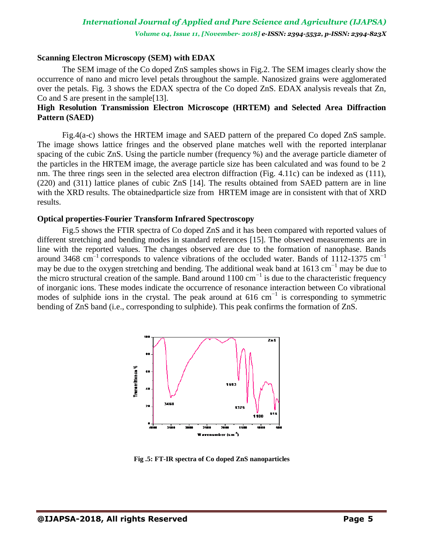## **Scanning Electron Microscopy (SEM) with EDAX**

The SEM image of the Co doped ZnS samples shows in Fig.2. The SEM images clearly show the occurrence of nano and micro level petals throughout the sample. Nanosized grains were agglomerated over the petals. Fig. 3 shows the EDAX spectra of the Co doped ZnS. EDAX analysis reveals that Zn, Co and S are present in the sample[13].

# **High Resolution Transmission Electron Microscope (HRTEM) and Selected Area Diffraction Pattern (SAED)**

Fig.4(a-c) shows the HRTEM image and SAED pattern of the prepared Co doped ZnS sample. The image shows lattice fringes and the observed plane matches well with the reported interplanar spacing of the cubic ZnS. Using the particle number (frequency %) and the average particle diameter of the particles in the HRTEM image, the average particle size has been calculated and was found to be 2 nm. The three rings seen in the selected area electron diffraction (Fig. 4.11c) can be indexed as (111), (220) and (311) lattice planes of cubic ZnS [14]. The results obtained from SAED pattern are in line with the XRD results. The obtainedparticle size from HRTEM image are in consistent with that of XRD results.

### **Optical properties-Fourier Transform Infrared Spectroscopy**

Fig.5 shows the FTIR spectra of Co doped ZnS and it has been compared with reported values of different stretching and bending modes in standard references [15]. The observed measurements are in line with the reported values. The changes observed are due to the formation of nanophase. Bands around 3468 cm<sup>-1</sup> corresponds to valence vibrations of the occluded water. Bands of 1112-1375 cm<sup>-1</sup> may be due to the oxygen stretching and bending. The additional weak band at  $1613 \text{ cm}^{-1}$  may be due to the micro structural creation of the sample. Band around  $1100 \text{ cm}^{-1}$  is due to the characteristic frequency of inorganic ions. These modes indicate the occurrence of resonance interaction between Co vibrational modes of sulphide ions in the crystal. The peak around at 616 cm<sup>-1</sup> is corresponding to symmetric bending of ZnS band (i.e., corresponding to sulphide). This peak confirms the formation of ZnS.



**Fig .5: FT-IR spectra of Co doped ZnS nanoparticles**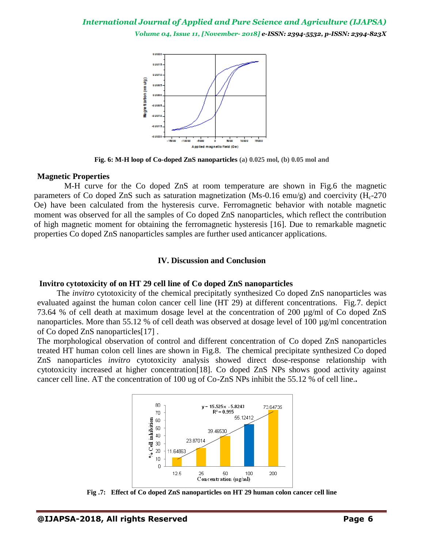*Volume 04, Issue 11, [November- 2018] e-ISSN: 2394-5532, p-ISSN: 2394-823X*



**Fig. 6: M-H loop of Co-doped ZnS nanoparticles (a) 0.025 mol, (b) 0.05 mol and**

#### **Magnetic Properties**

M-H curve for the Co doped ZnS at room temperature are shown in Fig.6 the magnetic parameters of Co doped ZnS such as saturation magnetization (Ms-0.16 emu/g) and coercivity  $(H<sub>c</sub>-270)$ Oe) have been calculated from the hysteresis curve. Ferromagnetic behavior with notable magnetic moment was observed for all the samples of Co doped ZnS nanoparticles, which reflect the contribution of high magnetic moment for obtaining the ferromagnetic hysteresis [16]. Due to remarkable magnetic properties Co doped ZnS nanoparticles samples are further used anticancer applications.

#### **IV. Discussion and Conclusion**

#### **Invitro cytotoxicity of on HT 29 cell line of Co doped ZnS nanoparticles**

The *invitro* cytotoxicity of the chemical precipitatly synthesized Co doped ZnS nanoparticles was evaluated against the human colon cancer cell line (HT 29) at different concentrations. Fig.7. depict 73.64 % of cell death at maximum dosage level at the concentration of 200 µg/ml of Co doped ZnS nanoparticles. More than 55.12 % of cell death was observed at dosage level of 100  $\mu$ g/ml concentration of Co doped ZnS nanoparticles[17] .

The morphological observation of control and different concentration of Co doped ZnS nanoparticles treated HT human colon cell lines are shown in Fig.8. The chemical precipitate synthesized Co doped ZnS nanoparticles *invitro* cytotoxicity analysis showed direct dose-response relationship with cytotoxicity increased at higher concentration[18]. Co doped ZnS NPs shows good activity against cancer cell line. AT the concentration of 100 ug of Co-ZnS NPs inhibit the 55.12 % of cell line.**.**



**Fig .7: Effect of Co doped ZnS nanoparticles on HT 29 human colon cancer cell line**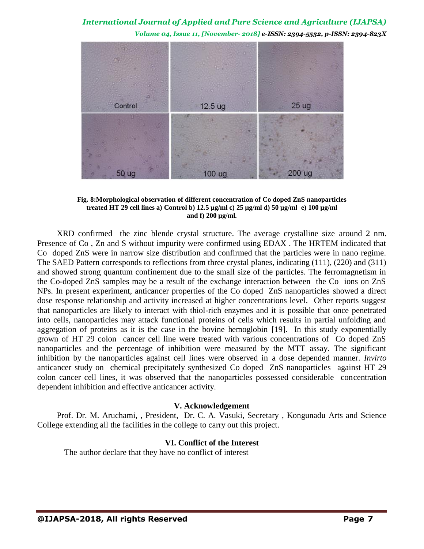*Volume 04, Issue 11, [November- 2018] e-ISSN: 2394-5532, p-ISSN: 2394-823X*



**Fig. 8:Morphological observation of different concentration of Co doped ZnS nanoparticles treated HT 29 cell lines a) Control b) 12.5 µg/ml c) 25 µg/ml d) 50 µg/ml e) 100 µg/ml and f) 200 µg/ml.**

XRD confirmed the zinc blende crystal structure. The average crystalline size around 2 nm. Presence of Co , Zn and S without impurity were confirmed using EDAX . The HRTEM indicated that Co doped ZnS were in narrow size distribution and confirmed that the particles were in nano regime. The SAED Pattern corresponds to reflections from three crystal planes, indicating (111), (220) and (311) and showed strong quantum confinement due to the small size of the particles. The ferromagnetism in the Co-doped ZnS samples may be a result of the exchange interaction between the Co ions on ZnS NPs. In present experiment, anticancer properties of the Co doped ZnS nanoparticles showed a direct dose response relationship and activity increased at higher concentrations level. Other reports suggest that nanoparticles are likely to interact with thiol-rich enzymes and it is possible that once penetrated into cells, nanoparticles may attack functional proteins of cells which results in partial unfolding and aggregation of proteins as it is the case in the bovine hemoglobin [19]. In this study exponentially grown of HT 29 colon cancer cell line were treated with various concentrations of Co doped ZnS nanoparticles and the percentage of inhibition were measured by the MTT assay. The significant inhibition by the nanoparticles against cell lines were observed in a dose depended manner. *Invirto*  anticancer study on chemical precipitately synthesized Co doped ZnS nanoparticles against HT 29 colon cancer cell lines, it was observed that the nanoparticles possessed considerable concentration dependent inhibition and effective anticancer activity.

#### **V. Acknowledgement**

Prof. Dr. M. Aruchami, , President, Dr. C. A. Vasuki, Secretary , Kongunadu Arts and Science College extending all the facilities in the college to carry out this project.

# **VI. Conflict of the Interest**

The author declare that they have no conflict of interest